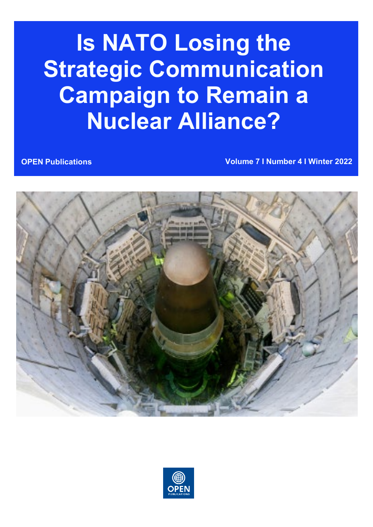# **Is NATO Losing the Strategic Communication Campaign to Remain a Nuclear Alliance?**

**OPEN Publications Volume 7 I Number 4 I Winter 2022**



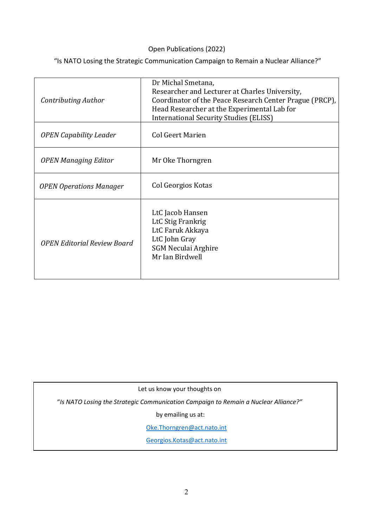#### Open Publications (2022)

"Is NATO Losing the Strategic Communication Campaign to Remain a Nuclear Alliance?"

| Contributing Author                | Dr Michal Smetana,<br>Researcher and Lecturer at Charles University,<br>Coordinator of the Peace Research Center Prague (PRCP),<br>Head Researcher at the Experimental Lab for<br><b>International Security Studies (ELISS)</b> |
|------------------------------------|---------------------------------------------------------------------------------------------------------------------------------------------------------------------------------------------------------------------------------|
| <b>OPEN Capability Leader</b>      | <b>Col Geert Marien</b>                                                                                                                                                                                                         |
| <b>OPEN Managing Editor</b>        | Mr Oke Thorngren                                                                                                                                                                                                                |
| <b>OPEN Operations Manager</b>     | Col Georgios Kotas                                                                                                                                                                                                              |
| <b>OPEN Editorial Review Board</b> | LtC Jacob Hansen<br>LtC Stig Frankrig<br>LtC Faruk Akkaya<br>LtC John Gray<br><b>SGM Neculai Arghire</b><br>Mr Ian Birdwell                                                                                                     |

Let us know your thoughts on

"*Is NATO Losing the Strategic Communication Campaign to Remain a Nuclear Alliance?"*

by emailing us at:

[Oke.Thorngren@act.nato.int](mailto:Oke.Thorngren@act.nato.int)

[Georgios.Kotas@act.nato.int](mailto:Georgios.Kotas@act.nato.int)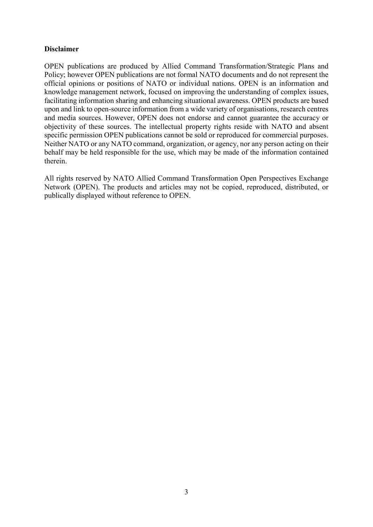#### **Disclaimer**

OPEN publications are produced by Allied Command Transformation/Strategic Plans and Policy; however OPEN publications are not formal NATO documents and do not represent the official opinions or positions of NATO or individual nations. OPEN is an information and knowledge management network, focused on improving the understanding of complex issues, facilitating information sharing and enhancing situational awareness. OPEN products are based upon and link to open-source information from a wide variety of organisations, research centres and media sources. However, OPEN does not endorse and cannot guarantee the accuracy or objectivity of these sources. The intellectual property rights reside with NATO and absent specific permission OPEN publications cannot be sold or reproduced for commercial purposes. Neither NATO or any NATO command, organization, or agency, nor any person acting on their behalf may be held responsible for the use, which may be made of the information contained therein.

All rights reserved by NATO Allied Command Transformation Open Perspectives Exchange Network (OPEN). The products and articles may not be copied, reproduced, distributed, or publically displayed without reference to OPEN.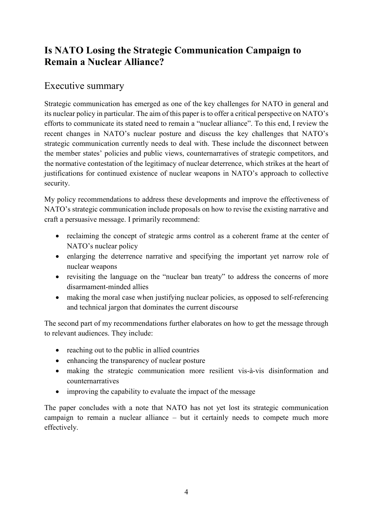## **Is NATO Losing the Strategic Communication Campaign to Remain a Nuclear Alliance?**

## Executive summary

Strategic communication has emerged as one of the key challenges for NATO in general and its nuclear policy in particular. The aim of this paper is to offer a critical perspective on NATO's efforts to communicate its stated need to remain a "nuclear alliance". To this end, I review the recent changes in NATO's nuclear posture and discuss the key challenges that NATO's strategic communication currently needs to deal with. These include the disconnect between the member states' policies and public views, counternarratives of strategic competitors, and the normative contestation of the legitimacy of nuclear deterrence, which strikes at the heart of justifications for continued existence of nuclear weapons in NATO's approach to collective security.

My policy recommendations to address these developments and improve the effectiveness of NATO's strategic communication include proposals on how to revise the existing narrative and craft a persuasive message. I primarily recommend:

- reclaiming the concept of strategic arms control as a coherent frame at the center of NATO's nuclear policy
- enlarging the deterrence narrative and specifying the important yet narrow role of nuclear weapons
- revisiting the language on the "nuclear ban treaty" to address the concerns of more disarmament-minded allies
- making the moral case when justifying nuclear policies, as opposed to self-referencing and technical jargon that dominates the current discourse

The second part of my recommendations further elaborates on how to get the message through to relevant audiences. They include:

- reaching out to the public in allied countries
- enhancing the transparency of nuclear posture
- making the strategic communication more resilient vis-à-vis disinformation and counternarratives
- improving the capability to evaluate the impact of the message

The paper concludes with a note that NATO has not yet lost its strategic communication campaign to remain a nuclear alliance – but it certainly needs to compete much more effectively.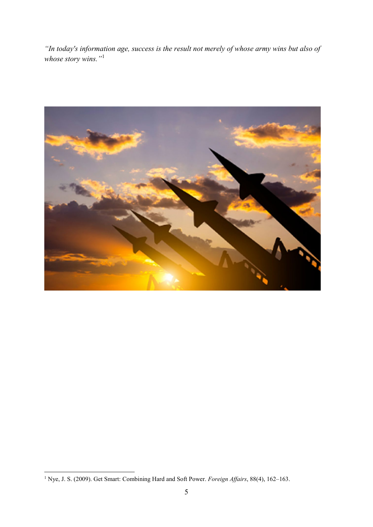*"In today's information age, success is the result not merely of whose army wins but also of whose story wins."*[1](#page-4-0)



<span id="page-4-0"></span> <sup>1</sup> Nye, J. S. (2009). Get Smart: Combining Hard and Soft Power. *Foreign Affairs*, 88(4), 162–163.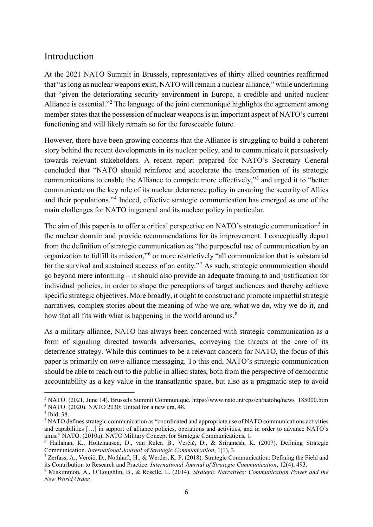## Introduction

At the 2021 NATO Summit in Brussels, representatives of thirty allied countries reaffirmed that "as long as nuclear weapons exist, NATO will remain a nuclear alliance," while underlining that "given the deteriorating security environment in Europe, a credible and united nuclear Alliance is essential."<sup>[2](#page-5-0)</sup> The language of the joint communiqué highlights the agreement among member states that the possession of nuclear weapons is an important aspect of NATO's current functioning and will likely remain so for the foreseeable future.

However, there have been growing concerns that the Alliance is struggling to build a coherent story behind the recent developments in its nuclear policy, and to communicate it persuasively towards relevant stakeholders. A recent report prepared for NATO's Secretary General concluded that "NATO should reinforce and accelerate the transformation of its strategic communications to enable the Alliance to compete more effectively,"[3](#page-5-1) and urged it to "better communicate on the key role of its nuclear deterrence policy in ensuring the security of Allies and their populations."[4](#page-5-2) Indeed, effective strategic communication has emerged as one of the main challenges for NATO in general and its nuclear policy in particular.

The aim of this paper is to offer a critical perspective on NATO's strategic communication<sup>[5](#page-5-3)</sup> in the nuclear domain and provide recommendations for its improvement. I conceptually depart from the definition of strategic communication as "the purposeful use of communication by an organization to fulfill its mission,"[6](#page-5-4) or more restrictively "all communication that is substantial for the survival and sustained success of an entity."[7](#page-5-5) As such, strategic communication should go beyond mere informing – it should also provide an adequate framing to and justification for individual policies, in order to shape the perceptions of target audiences and thereby achieve specific strategic objectives. More broadly, it ought to construct and promote impactful strategic narratives, complex stories about the meaning of who we are, what we do, why we do it, and how that all fits with what is happening in the world around us.<sup>[8](#page-5-6)</sup>

As a military alliance, NATO has always been concerned with strategic communication as a form of signaling directed towards adversaries, conveying the threats at the core of its deterrence strategy. While this continues to be a relevant concern for NATO, the focus of this paper is primarily on *intra*-alliance messaging. To this end, NATO's strategic communication should be able to reach out to the public in allied states, both from the perspective of democratic accountability as a key value in the transatlantic space, but also as a pragmatic step to avoid

<span id="page-5-0"></span> <sup>2</sup> NATO. (2021, June 14). Brussels Summit Communiqué. https://www.nato.int/cps/en/natohq/news\_185000.htm <sup>3</sup> NATO. (2020). NATO 2030: United for a new era, 48*.*

<span id="page-5-2"></span><span id="page-5-1"></span><sup>4</sup> Ibid, 38.

<span id="page-5-3"></span><sup>5</sup> NATO defines strategic communication as "coordinated and appropriate use of NATO communications activities and capabilities […] in support of alliance policies, operations and activities, and in order to advance NATO's aims." NATO. (2010a). NATO Military Concept for Strategic Communications, 1*.*

<span id="page-5-4"></span><sup>6</sup> Hallahan, K., Holtzhausen, D., van Ruler, B., Verčič, D., & Sriramesh, K. (2007). Defining Strategic Communication. *International Journal of Strategic Communication*, 1(1), 3.

<span id="page-5-5"></span><sup>&</sup>lt;sup>7</sup> Zerfass, A., Verčič, D., Nothhaft, H.,  $\&$  Werder, K. P. (2018). Strategic Communication: Defining the Field and its Contribution to Research and Practice. *International Journal of Strategic Communication*, 12(4), 493.

<span id="page-5-6"></span><sup>8</sup> Miskimmon, A., O'Loughlin, B., & Roselle, L. (2014). *Strategic Narratives: Communication Power and the New World Order.*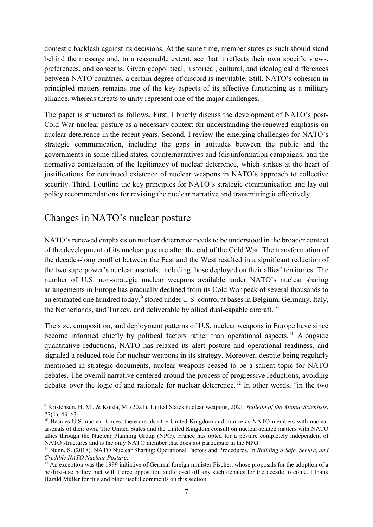domestic backlash against its decisions. At the same time, member states as such should stand behind the message and, to a reasonable extent, see that it reflects their own specific views, preferences, and concerns. Given geopolitical, historical, cultural, and ideological differences between NATO countries, a certain degree of discord is inevitable. Still, NATO's cohesion in principled matters remains one of the key aspects of its effective functioning as a military alliance, whereas threats to unity represent one of the major challenges.

The paper is structured as follows. First, I briefly discuss the development of NATO's post-Cold War nuclear posture as a necessary context for understanding the renewed emphasis on nuclear deterrence in the recent years. Second, I review the emerging challenges for NATO's strategic communication, including the gaps in attitudes between the public and the governments in some allied states, counternarratives and (dis)information campaigns, and the normative contestation of the legitimacy of nuclear deterrence, which strikes at the heart of justifications for continued existence of nuclear weapons in NATO's approach to collective security. Third, I outline the key principles for NATO's strategic communication and lay out policy recommendations for revising the nuclear narrative and transmitting it effectively.

## Changes in NATO's nuclear posture

NATO's renewed emphasis on nuclear deterrence needs to be understood in the broader context of the development of its nuclear posture after the end of the Cold War. The transformation of the decades-long conflict between the East and the West resulted in a significant reduction of the two superpower's nuclear arsenals, including those deployed on their allies' territories. The number of U.S. non-strategic nuclear weapons available under NATO's nuclear sharing arrangements in Europe has gradually declined from its Cold War peak of several thousands to an estimated one hundred today, <sup>[9](#page-6-0)</sup> stored under U.S. control at bases in Belgium, Germany, Italy, the Netherlands, and Turkey, and deliverable by allied dual-capable aircraft.<sup>[10](#page-6-1)</sup>

The size, composition, and deployment patterns of U.S. nuclear weapons in Europe have since become informed chiefly by political factors rather than operational aspects.<sup>[11](#page-6-2)</sup> Alongside quantitative reductions, NATO has relaxed its alert posture and operational readiness, and signaled a reduced role for nuclear weapons in its strategy. Moreover, despite being regularly mentioned in strategic documents, nuclear weapons ceased to be a salient topic for NATO debates. The overall narrative centered around the process of progressive reductions, avoiding debates over the logic of and rationale for nuclear deterrence.<sup>[12](#page-6-3)</sup> In other words, "in the two

<span id="page-6-0"></span> <sup>9</sup> Kristensen, H. M., & Korda, M. (2021). United States nuclear weapons, 2021. *Bulletin of the Atomic Scientists*, 77(1), 43–63.

<span id="page-6-1"></span><sup>&</sup>lt;sup>10</sup> Besides U.S. nuclear forces, there are also the United Kingdom and France as NATO members with nuclear arsenals of their own. The United States and the United Kingdom consult on nuclear-related matters with NATO allies through the Nuclear Planning Group (NPG). France has opted for a posture completely independent of NATO structures and is the only NATO member that does not participate in the NPG.

<span id="page-6-2"></span><sup>11</sup> Nunn, S. (2018). NATO Nuclear Sharing: Operational Factors and Procedures. In *Building a Safe, Secure, and Credible NATO Nuclear Posture*.

<span id="page-6-3"></span><sup>&</sup>lt;sup>12</sup> An exception was the 1999 initiative of German foreign minister Fischer, whose proposals for the adoption of a no-first-use policy met with fierce opposition and closed off any such debates for the decade to come. I thank Harald Müller for this and other useful comments on this section.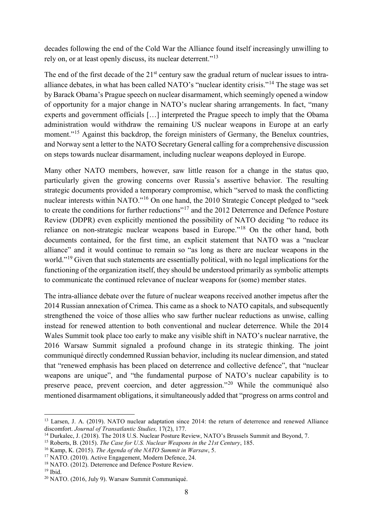decades following the end of the Cold War the Alliance found itself increasingly unwilling to rely on, or at least openly discuss, its nuclear deterrent."<sup>[13](#page-7-0)</sup>

The end of the first decade of the  $21<sup>st</sup>$  century saw the gradual return of nuclear issues to intraalliance debates, in what has been called NATO's "nuclear identity crisis."[14](#page-7-1) The stage was set by Barack Obama's Prague speech on nuclear disarmament, which seemingly opened a window of opportunity for a major change in NATO's nuclear sharing arrangements. In fact, "many experts and government officials […] interpreted the Prague speech to imply that the Obama administration would withdraw the remaining US nuclear weapons in Europe at an early moment."<sup>[15](#page-7-2)</sup> Against this backdrop, the foreign ministers of Germany, the Benelux countries, and Norway sent a letter to the NATO Secretary General calling for a comprehensive discussion on steps towards nuclear disarmament, including nuclear weapons deployed in Europe.

Many other NATO members, however, saw little reason for a change in the status quo, particularly given the growing concerns over Russia's assertive behavior. The resulting strategic documents provided a temporary compromise, which "served to mask the conflicting nuclear interests within NATO."[16](#page-7-3) On one hand, the 2010 Strategic Concept pledged to "seek to create the conditions for further reductions"<sup>[17](#page-7-4)</sup> and the 2012 Deterrence and Defence Posture Review (DDPR) even explicitly mentioned the possibility of NATO deciding "to reduce its reliance on non-strategic nuclear weapons based in Europe."[18](#page-7-5) On the other hand, both documents contained, for the first time, an explicit statement that NATO was a "nuclear alliance" and it would continue to remain so "as long as there are nuclear weapons in the world."<sup>[19](#page-7-6)</sup> Given that such statements are essentially political, with no legal implications for the functioning of the organization itself, they should be understood primarily as symbolic attempts to communicate the continued relevance of nuclear weapons for (some) member states.

The intra-alliance debate over the future of nuclear weapons received another impetus after the 2014 Russian annexation of Crimea. This came as a shock to NATO capitals, and subsequently strengthened the voice of those allies who saw further nuclear reductions as unwise, calling instead for renewed attention to both conventional and nuclear deterrence. While the 2014 Wales Summit took place too early to make any visible shift in NATO's nuclear narrative, the 2016 Warsaw Summit signaled a profound change in its strategic thinking. The joint communiqué directly condemned Russian behavior, including its nuclear dimension, and stated that "renewed emphasis has been placed on deterrence and collective defence", that "nuclear weapons are unique", and "the fundamental purpose of NATO's nuclear capability is to preserve peace, prevent coercion, and deter aggression."[20](#page-7-7) While the communiqué also mentioned disarmament obligations, it simultaneously added that "progress on arms control and

<span id="page-7-0"></span><sup>&</sup>lt;sup>13</sup> Larsen, J. A. (2019). NATO nuclear adaptation since 2014: the return of deterrence and renewed Alliance discomfort. *Journal of Transatlantic Studies,* 17(2), 177.

<span id="page-7-1"></span><sup>&</sup>lt;sup>14</sup> Durkalec, J. (2018). The 2018 U.S. Nuclear Posture Review, NATO's Brussels Summit and Beyond, 7.

<span id="page-7-2"></span><sup>15</sup> Roberts, B. (2015). *The Case for U.S. Nuclear Weapons in the 21st Century*, 185.

<span id="page-7-3"></span><sup>16</sup> Kamp, K. (2015). *The Agenda of the NATO Summit in Warsaw*, 5.

<span id="page-7-4"></span><sup>&</sup>lt;sup>17</sup> NATO. (2010). Active Engagement, Modern Defence, 24.<br><sup>18</sup> NATO. (2012). Deterrence and Defence Posture Review.

<span id="page-7-5"></span>

<span id="page-7-6"></span> $19$  Ibid.

<span id="page-7-7"></span><sup>20</sup> NATO. (2016, July 9). Warsaw Summit Communiqué.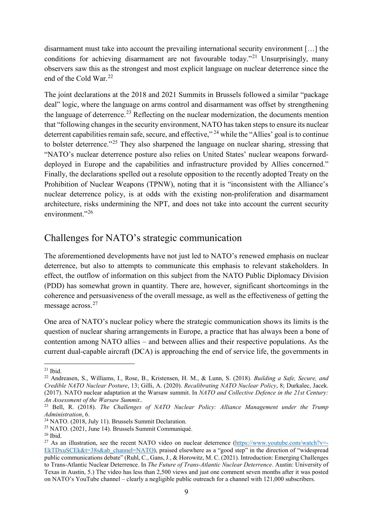disarmament must take into account the prevailing international security environment […] the conditions for achieving disarmament are not favourable today."<sup>[21](#page-8-0)</sup> Unsurprisingly, many observers saw this as the strongest and most explicit language on nuclear deterrence since the end of the Cold War. [22](#page-8-1)

The joint declarations at the 2018 and 2021 Summits in Brussels followed a similar "package deal" logic, where the language on arms control and disarmament was offset by strengthening the language of deterrence.<sup>[23](#page-8-2)</sup> Reflecting on the nuclear modernization, the documents mention that "following changes in the security environment, NATO has taken steps to ensure its nuclear deterrent capabilities remain safe, secure, and effective," <sup>[24](#page-8-3)</sup> while the "Allies' goal is to continue to bolster deterrence."<sup>[25](#page-8-4)</sup> They also sharpened the language on nuclear sharing, stressing that "NATO's nuclear deterrence posture also relies on United States' nuclear weapons forwarddeployed in Europe and the capabilities and infrastructure provided by Allies concerned." Finally, the declarations spelled out a resolute opposition to the recently adopted Treaty on the Prohibition of Nuclear Weapons (TPNW), noting that it is "inconsistent with the Alliance's nuclear deterrence policy, is at odds with the existing non-proliferation and disarmament architecture, risks undermining the NPT, and does not take into account the current security environment."<sup>[26](#page-8-5)</sup>

## Challenges for NATO's strategic communication

The aforementioned developments have not just led to NATO's renewed emphasis on nuclear deterrence, but also to attempts to communicate this emphasis to relevant stakeholders. In effect, the outflow of information on this subject from the NATO Public Diplomacy Division (PDD) has somewhat grown in quantity. There are, however, significant shortcomings in the coherence and persuasiveness of the overall message, as well as the effectiveness of getting the message across.<sup>[27](#page-8-6)</sup>

One area of NATO's nuclear policy where the strategic communication shows its limits is the question of nuclear sharing arrangements in Europe, a practice that has always been a bone of contention among NATO allies – and between allies and their respective populations. As the current dual-capable aircraft (DCA) is approaching the end of service life, the governments in

<span id="page-8-0"></span> $21$  Ibid.

<span id="page-8-1"></span><sup>22</sup> Andreasen, S., Williams, I., Rose, B., Kristensen, H. M., & Lunn, S. (2018). *Building a Safe, Secure, and Credible NATO Nuclear Posture*, 13; Gilli, A. (2020). *Recalibrating NATO Nuclear Policy*, 8; Durkalec, Jacek. (2017). NATO nuclear adaptation at the Warsaw summit. In *NATO and Collective Defence in the 21st Century: An Assessment of the Warsaw Summit*..

<span id="page-8-2"></span><sup>&</sup>lt;sup>23</sup> Bell, R. (2018). *The Challenges of NATO Nuclear Policy: Alliance Management under the Trump Administration*, 6.<br><sup>24</sup> NATO. (2018, July 11). Brussels Summit Declaration.

<span id="page-8-3"></span>

<span id="page-8-4"></span><sup>&</sup>lt;sup>25</sup> NATO. (2021, June 14). Brussels Summit Communiqué.

<span id="page-8-5"></span><sup>26</sup> Ibid.

<span id="page-8-6"></span><sup>&</sup>lt;sup>27</sup> As an illustration, see the recent NATO video on nuclear deterrence ( $\frac{https://www.youtube.com/watch?v=-}{https://www.youtube.com/watch?v=-}$ [EkTDxuSCEk&t=38s&ab\\_channel=NATO](https://www.youtube.com/watch?v=-EkTDxuSCEk&t=38s&ab_channel=NATO)), praised elsewhere as a "good step" in the direction of "widespread public communications debate" (Ruhl, C., Gans, J., & Horowitz, M. C. (2021). Introduction: Emerging Challenges to Trans-Atlantic Nuclear Deterrence. In *The Future of Trans-Atlantic Nuclear Deterrence*. Austin: University of Texas in Austin, 5.) The video has less than 2,500 views and just one comment seven months after it was posted on NATO's YouTube channel – clearly a negligible public outreach for a channel with 121,000 subscribers.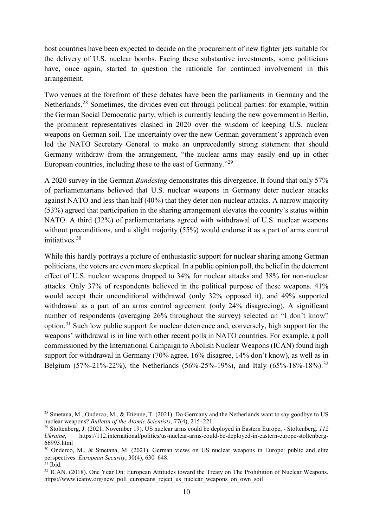host countries have been expected to decide on the procurement of new fighter jets suitable for the delivery of U.S. nuclear bombs. Facing these substantive investments, some politicians have, once again, started to question the rationale for continued involvement in this arrangement.

Two venues at the forefront of these debates have been the parliaments in Germany and the Netherlands.<sup>[28](#page-9-0)</sup> Sometimes, the divides even cut through political parties: for example, within the German Social Democratic party, which is currently leading the new government in Berlin, the prominent representatives clashed in 2020 over the wisdom of keeping U.S. nuclear weapons on German soil. The uncertainty over the new German government's approach even led the NATO Secretary General to make an unprecedently strong statement that should Germany withdraw from the arrangement, "the nuclear arms may easily end up in other European countries, including these to the east of Germany."[29](#page-9-1)

A 2020 survey in the German *Bundestag* demonstrates this divergence. It found that only 57% of parliamentarians believed that U.S. nuclear weapons in Germany deter nuclear attacks against NATO and less than half (40%) that they deter non-nuclear attacks. A narrow majority (53%) agreed that participation in the sharing arrangement elevates the country's status within NATO. A third (32%) of parliamentarians agreed with withdrawal of U.S. nuclear weapons without preconditions, and a slight majority (55%) would endorse it as a part of arms control initiatives. [30](#page-9-2)

While this hardly portrays a picture of enthusiastic support for nuclear sharing among German politicians, the voters are even more skeptical. In a public opinion poll, the belief in the deterrent effect of U.S. nuclear weapons dropped to 34% for nuclear attacks and 38% for non-nuclear attacks. Only 37% of respondents believed in the political purpose of these weapons. 41% would accept their unconditional withdrawal (only 32% opposed it), and 49% supported withdrawal as a part of an arms control agreement (only 24% disagreeing). A significant number of respondents (averaging 26% throughout the survey) selected an "I don't know" option.[31](#page-9-3) Such low public support for nuclear deterrence and, conversely, high support for the weapons' withdrawal is in line with other recent polls in NATO countries. For example, a poll commissioned by the International Campaign to Abolish Nuclear Weapons (ICAN) found high support for withdrawal in Germany (70% agree, 16% disagree, 14% don't know), as well as in Belgium (57%-21%-22%), the Netherlands (56%-25%-19%), and Italy (65%-18%-18%).<sup>[32](#page-9-4)</sup>

<span id="page-9-0"></span><sup>&</sup>lt;sup>28</sup> Smetana, M., Onderco, M., & Etienne, T. (2021). Do Germany and the Netherlands want to say goodbye to US nuclear weapons? *Bulletin of the Atomic Scientists*, 77(4), 215–221.

<span id="page-9-1"></span><sup>&</sup>lt;sup>29</sup> Stoltenberg, J. (2021, November 19). US nuclear arms could be deployed in Eastern Europe, - Stoltenberg. *112*<br>*Ukraine.* https://112.international/politics/us-nuclear-arms-could-be-deployed-in-eastern-europe-stoltenb *Ukraine*, https://112.international/politics/us-nuclear-arms-could-be-deployed-in-eastern-europe-stoltenberg-66993.html

<span id="page-9-2"></span><sup>30</sup> Onderco, M., & Smetana, M. (2021). German views on US nuclear weapons in Europe: public and elite perspectives. *European Security*, 30(4), 630–648.

<span id="page-9-3"></span> $31$  Ibid.

<span id="page-9-4"></span><sup>&</sup>lt;sup>32</sup> ICAN. (2018). One Year On: European Attitudes toward the Treaty on The Prohibition of Nuclear Weapons. https://www.icanw.org/new\_poll\_europeans\_reject\_us\_nuclear\_weapons\_on\_own\_soil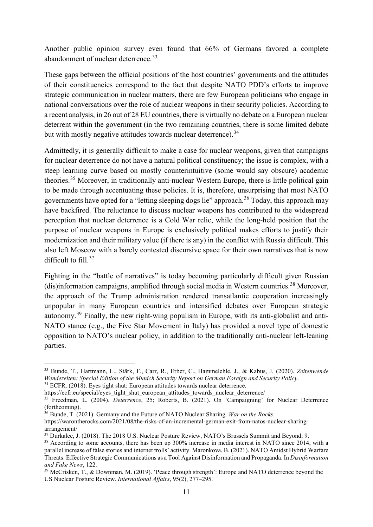Another public opinion survey even found that 66% of Germans favored a complete abandonment of nuclear deterrence.<sup>[33](#page-10-0)</sup>

These gaps between the official positions of the host countries' governments and the attitudes of their constituencies correspond to the fact that despite NATO PDD's efforts to improve strategic communication in nuclear matters, there are few European politicians who engage in national conversations over the role of nuclear weapons in their security policies. According to a recent analysis, in 26 out of 28 EU countries, there is virtually no debate on a European nuclear deterrent within the government (in the two remaining countries, there is some limited debate but with mostly negative attitudes towards nuclear deterrence).<sup>[34](#page-10-1)</sup>

Admittedly, it is generally difficult to make a case for nuclear weapons, given that campaigns for nuclear deterrence do not have a natural political constituency; the issue is complex, with a steep learning curve based on mostly counterintuitive (some would say obscure) academic theories.<sup>[35](#page-10-2)</sup> Moreover, in traditionally anti-nuclear Western Europe, there is little political gain to be made through accentuating these policies. It is, therefore, unsurprising that most NATO governments have opted for a "letting sleeping dogs lie" approach.<sup>[36](#page-10-3)</sup> Today, this approach may have backfired. The reluctance to discuss nuclear weapons has contributed to the widespread perception that nuclear deterrence is a Cold War relic, while the long-held position that the purpose of nuclear weapons in Europe is exclusively political makes efforts to justify their modernization and their military value (if there is any) in the conflict with Russia difficult. This also left Moscow with a barely contested discursive space for their own narratives that is now difficult to fill.<sup>[37](#page-10-4)</sup>

Fighting in the "battle of narratives" is today becoming particularly difficult given Russian (dis)information campaigns, amplified through social media in Western countries. [38](#page-10-5) Moreover, the approach of the Trump administration rendered transatlantic cooperation increasingly unpopular in many European countries and intensified debates over European strategic autonomy.<sup>[39](#page-10-6)</sup> Finally, the new right-wing populism in Europe, with its anti-globalist and anti-NATO stance (e.g., the Five Star Movement in Italy) has provided a novel type of domestic opposition to NATO's nuclear policy, in addition to the traditionally anti-nuclear left-leaning parties.

<span id="page-10-0"></span> <sup>33</sup> Bunde, T., Hartmann, L., Stärk, F., Carr, R., Erber, C., Hammelehle, J., & Kabus, J. (2020). *Zeitenwende Wendezeiten: Special Edition of the Munich Security Report on German Foreign and Security Policy*. <sup>34</sup> ECFR. (2018). Eyes tight shut: European attitudes towards nuclear deterrence.

<span id="page-10-1"></span>https://ecfr.eu/special/eyes\_tight\_shut\_european\_attitudes\_towards\_nuclear\_deterrence/

<span id="page-10-2"></span><sup>35</sup> Freedman, L. (2004). *Deterrence*, 25; Roberts, B. (2021). On 'Campaigning' for Nuclear Deterrence (forthcoming).

<span id="page-10-3"></span><sup>36</sup> Bunde, T. (2021). Germany and the Future of NATO Nuclear Sharing. *War on the Rocks.*  https://warontherocks.com/2021/08/the-risks-of-an-incremental-german-exit-from-natos-nuclear-sharingarrangement/

<span id="page-10-4"></span><sup>37</sup> Durkalec, J. (2018). The 2018 U.S. Nuclear Posture Review, NATO's Brussels Summit and Beyond, 9.

<span id="page-10-5"></span><sup>&</sup>lt;sup>38</sup> According to some accounts, there has been up 300% increase in media interest in NATO since 2014, with a parallel increase of false stories and internet trolls' activity. Maronkova, B. (2021). NATO Amidst Hybrid Warfare Threats: Effective Strategic Communications as a Tool Against Disinformation and Propaganda. In *Disinformation and Fake News*, 122.

<span id="page-10-6"></span><sup>39</sup> McCrisken, T., & Downman, M. (2019). 'Peace through strength': Europe and NATO deterrence beyond the US Nuclear Posture Review. *International Affairs*, 95(2), 277–295.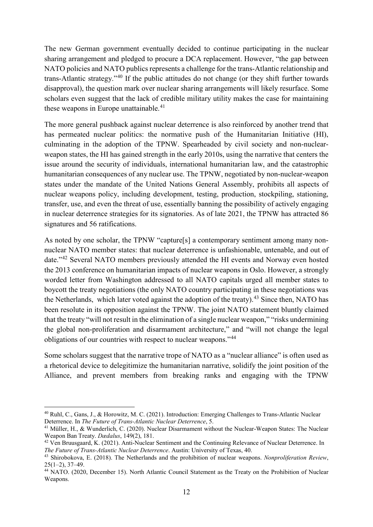The new German government eventually decided to continue participating in the nuclear sharing arrangement and pledged to procure a DCA replacement. However, "the gap between NATO policies and NATO publics represents a challenge for the trans-Atlantic relationship and trans-Atlantic strategy."[40](#page-11-0) If the public attitudes do not change (or they shift further towards disapproval), the question mark over nuclear sharing arrangements will likely resurface. Some scholars even suggest that the lack of credible military utility makes the case for maintaining these weapons in Europe unattainable.<sup>[41](#page-11-1)</sup>

The more general pushback against nuclear deterrence is also reinforced by another trend that has permeated nuclear politics: the normative push of the Humanitarian Initiative (HI), culminating in the adoption of the TPNW. Spearheaded by civil society and non-nuclearweapon states, the HI has gained strength in the early 2010s, using the narrative that centers the issue around the security of individuals, international humanitarian law, and the catastrophic humanitarian consequences of any nuclear use. The TPNW, negotiated by non-nuclear-weapon states under the mandate of the United Nations General Assembly, prohibits all aspects of nuclear weapons policy, including development, testing, production, stockpiling, stationing, transfer, use, and even the threat of use, essentially banning the possibility of actively engaging in nuclear deterrence strategies for its signatories. As of late 2021, the TPNW has attracted 86 signatures and 56 ratifications.

As noted by one scholar, the TPNW "capture[s] a contemporary sentiment among many nonnuclear NATO member states: that nuclear deterrence is unfashionable, untenable, and out of date."[42](#page-11-2) Several NATO members previously attended the HI events and Norway even hosted the 2013 conference on humanitarian impacts of nuclear weapons in Oslo. However, a strongly worded letter from Washington addressed to all NATO capitals urged all member states to boycott the treaty negotiations (the only NATO country participating in these negotiations was the Netherlands, which later voted against the adoption of the treaty).<sup>[43](#page-11-3)</sup> Since then, NATO has been resolute in its opposition against the TPNW. The joint NATO statement bluntly claimed that the treaty "will not result in the elimination of a single nuclear weapon," "risks undermining the global non-proliferation and disarmament architecture," and "will not change the legal obligations of our countries with respect to nuclear weapons."[44](#page-11-4)

Some scholars suggest that the narrative trope of NATO as a "nuclear alliance" is often used as a rhetorical device to delegitimize the humanitarian narrative, solidify the joint position of the Alliance, and prevent members from breaking ranks and engaging with the TPNW

<span id="page-11-0"></span> <sup>40</sup> Ruhl, C., Gans, J., & Horowitz, M. C. (2021). Introduction: Emerging Challenges to Trans-Atlantic Nuclear Deterrence. In *The Future of Trans-Atlantic Nuclear Deterrence*, 5.

<span id="page-11-1"></span><sup>41</sup> Müller, H., & Wunderlich, C. (2020). Nuclear Disarmament without the Nuclear-Weapon States: The Nuclear Weapon Ban Treaty. *Dædalus*, 149(2), 181.

<span id="page-11-2"></span><sup>42</sup> Ven Bruusgaard, K. (2021). Anti-Nuclear Sentiment and the Continuing Relevance of Nuclear Deterrence. In *The Future of Trans-Atlantic Nuclear Deterrence*. Austin: University of Texas, 40.

<span id="page-11-3"></span><sup>43</sup> Shirobokova, E. (2018). The Netherlands and the prohibition of nuclear weapons. *Nonproliferation Review*, 25(1–2), 37–49. 44 NATO. (2020, December 15). North Atlantic Council Statement as the Treaty on the Prohibition of Nuclear

<span id="page-11-4"></span>Weapons.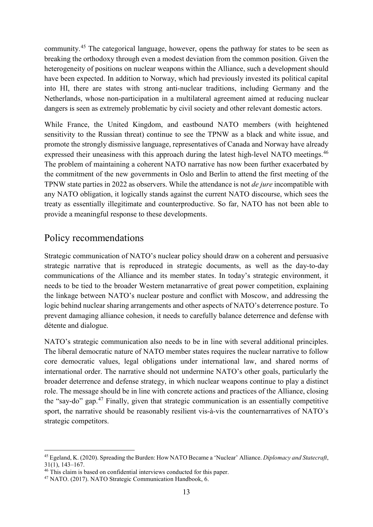community.<sup>[45](#page-12-0)</sup> The categorical language, however, opens the pathway for states to be seen as breaking the orthodoxy through even a modest deviation from the common position. Given the heterogeneity of positions on nuclear weapons within the Alliance, such a development should have been expected. In addition to Norway, which had previously invested its political capital into HI, there are states with strong anti-nuclear traditions, including Germany and the Netherlands, whose non-participation in a multilateral agreement aimed at reducing nuclear dangers is seen as extremely problematic by civil society and other relevant domestic actors.

While France, the United Kingdom, and eastbound NATO members (with heightened sensitivity to the Russian threat) continue to see the TPNW as a black and white issue, and promote the strongly dismissive language, representatives of Canada and Norway have already expressed their uneasiness with this approach during the latest high-level NATO meetings.<sup>[46](#page-12-1)</sup> The problem of maintaining a coherent NATO narrative has now been further exacerbated by the commitment of the new governments in Oslo and Berlin to attend the first meeting of the TPNW state parties in 2022 as observers. While the attendance is not *de jure* incompatible with any NATO obligation, it logically stands against the current NATO discourse, which sees the treaty as essentially illegitimate and counterproductive. So far, NATO has not been able to provide a meaningful response to these developments.

## Policy recommendations

Strategic communication of NATO's nuclear policy should draw on a coherent and persuasive strategic narrative that is reproduced in strategic documents, as well as the day-to-day communications of the Alliance and its member states. In today's strategic environment, it needs to be tied to the broader Western metanarrative of great power competition, explaining the linkage between NATO's nuclear posture and conflict with Moscow, and addressing the logic behind nuclear sharing arrangements and other aspects of NATO's deterrence posture. To prevent damaging alliance cohesion, it needs to carefully balance deterrence and defense with détente and dialogue.

NATO's strategic communication also needs to be in line with several additional principles. The liberal democratic nature of NATO member states requires the nuclear narrative to follow core democratic values, legal obligations under international law, and shared norms of international order. The narrative should not undermine NATO's other goals, particularly the broader deterrence and defense strategy, in which nuclear weapons continue to play a distinct role. The message should be in line with concrete actions and practices of the Alliance, closing the "say-do" gap.<sup>[47](#page-12-2)</sup> Finally, given that strategic communication is an essentially competitive sport, the narrative should be reasonably resilient vis-à-vis the counternarratives of NATO's strategic competitors.

<span id="page-12-0"></span> <sup>45</sup> Egeland, K. (2020). Spreading the Burden: How NATO Became a 'Nuclear' Alliance. *Diplomacy and Statecraft*,  $31(1)$ ,  $143-167$ .<br><sup>46</sup> This claim is based on confidential interviews conducted for this paper.

<span id="page-12-2"></span><span id="page-12-1"></span><sup>&</sup>lt;sup>47</sup> NATO. (2017). NATO Strategic Communication Handbook, 6.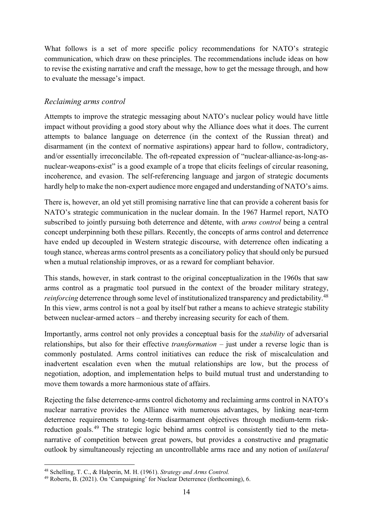What follows is a set of more specific policy recommendations for NATO's strategic communication, which draw on these principles. The recommendations include ideas on how to revise the existing narrative and craft the message, how to get the message through, and how to evaluate the message's impact.

#### *Reclaiming arms control*

Attempts to improve the strategic messaging about NATO's nuclear policy would have little impact without providing a good story about why the Alliance does what it does. The current attempts to balance language on deterrence (in the context of the Russian threat) and disarmament (in the context of normative aspirations) appear hard to follow, contradictory, and/or essentially irreconcilable. The oft-repeated expression of "nuclear-alliance-as-long-asnuclear-weapons-exist" is a good example of a trope that elicits feelings of circular reasoning, incoherence, and evasion. The self-referencing language and jargon of strategic documents hardly help to make the non-expert audience more engaged and understanding of NATO's aims.

There is, however, an old yet still promising narrative line that can provide a coherent basis for NATO's strategic communication in the nuclear domain. In the 1967 Harmel report, NATO subscribed to jointly pursuing both deterrence and détente, with *arms control* being a central concept underpinning both these pillars. Recently, the concepts of arms control and deterrence have ended up decoupled in Western strategic discourse, with deterrence often indicating a tough stance, whereas arms control presents as a conciliatory policy that should only be pursued when a mutual relationship improves, or as a reward for compliant behavior.

This stands, however, in stark contrast to the original conceptualization in the 1960s that saw arms control as a pragmatic tool pursued in the context of the broader military strategy, *reinforcing* deterrence through some level of institutionalized transparency and predictability.<sup>[48](#page-13-0)</sup> In this view, arms control is not a goal by itself but rather a means to achieve strategic stability between nuclear-armed actors – and thereby increasing security for each of them.

Importantly, arms control not only provides a conceptual basis for the *stability* of adversarial relationships, but also for their effective *transformation* – just under a reverse logic than is commonly postulated. Arms control initiatives can reduce the risk of miscalculation and inadvertent escalation even when the mutual relationships are low, but the process of negotiation, adoption, and implementation helps to build mutual trust and understanding to move them towards a more harmonious state of affairs.

Rejecting the false deterrence-arms control dichotomy and reclaiming arms control in NATO's nuclear narrative provides the Alliance with numerous advantages, by linking near-term deterrence requirements to long-term disarmament objectives through medium-term risk-reduction goals.<sup>[49](#page-13-1)</sup> The strategic logic behind arms control is consistently tied to the metanarrative of competition between great powers, but provides a constructive and pragmatic outlook by simultaneously rejecting an uncontrollable arms race and any notion of *unilateral*

 <sup>48</sup> Schelling, T. C., & Halperin, M. H. (1961). *Strategy and Arms Control.*

<span id="page-13-1"></span><span id="page-13-0"></span><sup>49</sup> Roberts, B. (2021). On 'Campaigning' for Nuclear Deterrence (forthcoming), 6.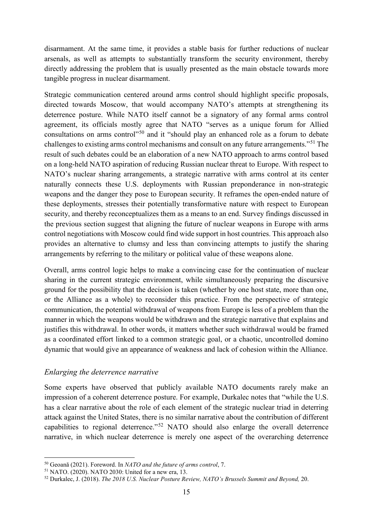disarmament. At the same time, it provides a stable basis for further reductions of nuclear arsenals, as well as attempts to substantially transform the security environment, thereby directly addressing the problem that is usually presented as the main obstacle towards more tangible progress in nuclear disarmament.

Strategic communication centered around arms control should highlight specific proposals, directed towards Moscow, that would accompany NATO's attempts at strengthening its deterrence posture. While NATO itself cannot be a signatory of any formal arms control agreement, its officials mostly agree that NATO "serves as a unique forum for Allied consultations on arms control<sup>"[50](#page-14-0)</sup> and it "should play an enhanced role as a forum to debate challenges to existing arms control mechanisms and consult on any future arrangements."[51](#page-14-1) The result of such debates could be an elaboration of a new NATO approach to arms control based on a long-held NATO aspiration of reducing Russian nuclear threat to Europe. With respect to NATO's nuclear sharing arrangements, a strategic narrative with arms control at its center naturally connects these U.S. deployments with Russian preponderance in non-strategic weapons and the danger they pose to European security. It reframes the open-ended nature of these deployments, stresses their potentially transformative nature with respect to European security, and thereby reconceptualizes them as a means to an end. Survey findings discussed in the previous section suggest that aligning the future of nuclear weapons in Europe with arms control negotiations with Moscow could find wide support in host countries. This approach also provides an alternative to clumsy and less than convincing attempts to justify the sharing arrangements by referring to the military or political value of these weapons alone.

Overall, arms control logic helps to make a convincing case for the continuation of nuclear sharing in the current strategic environment, while simultaneously preparing the discursive ground for the possibility that the decision is taken (whether by one host state, more than one, or the Alliance as a whole) to reconsider this practice. From the perspective of strategic communication, the potential withdrawal of weapons from Europe is less of a problem than the manner in which the weapons would be withdrawn and the strategic narrative that explains and justifies this withdrawal. In other words, it matters whether such withdrawal would be framed as a coordinated effort linked to a common strategic goal, or a chaotic, uncontrolled domino dynamic that would give an appearance of weakness and lack of cohesion within the Alliance.

#### *Enlarging the deterrence narrative*

Some experts have observed that publicly available NATO documents rarely make an impression of a coherent deterrence posture. For example, Durkalec notes that "while the U.S. has a clear narrative about the role of each element of the strategic nuclear triad in deterring attack against the United States, there is no similar narrative about the contribution of different capabilities to regional deterrence."[52](#page-14-2) NATO should also enlarge the overall deterrence narrative, in which nuclear deterrence is merely one aspect of the overarching deterrence

<span id="page-14-0"></span> <sup>50</sup> Geoană (2021). Foreword. In *NATO and the future of arms control*, 7.

<span id="page-14-1"></span><sup>51</sup> NATO. (2020). NATO 2030: United for a new era, 13.

<span id="page-14-2"></span><sup>52</sup> Durkalec, J. (2018). *The 2018 U.S. Nuclear Posture Review, NATO's Brussels Summit and Beyond,* 20.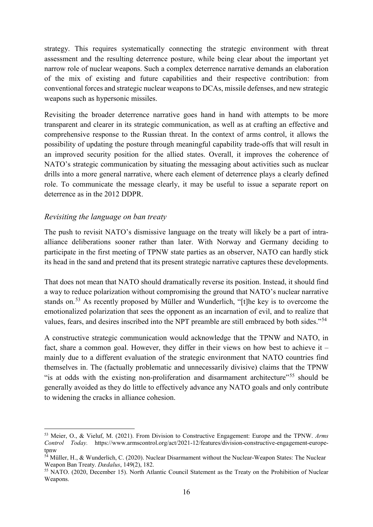strategy. This requires systematically connecting the strategic environment with threat assessment and the resulting deterrence posture, while being clear about the important yet narrow role of nuclear weapons. Such a complex deterrence narrative demands an elaboration of the mix of existing and future capabilities and their respective contribution: from conventional forces and strategic nuclear weapons to DCAs, missile defenses, and new strategic weapons such as hypersonic missiles.

Revisiting the broader deterrence narrative goes hand in hand with attempts to be more transparent and clearer in its strategic communication, as well as at crafting an effective and comprehensive response to the Russian threat. In the context of arms control, it allows the possibility of updating the posture through meaningful capability trade-offs that will result in an improved security position for the allied states. Overall, it improves the coherence of NATO's strategic communication by situating the messaging about activities such as nuclear drills into a more general narrative, where each element of deterrence plays a clearly defined role. To communicate the message clearly, it may be useful to issue a separate report on deterrence as in the 2012 DDPR.

#### *Revisiting the language on ban treaty*

The push to revisit NATO's dismissive language on the treaty will likely be a part of intraalliance deliberations sooner rather than later. With Norway and Germany deciding to participate in the first meeting of TPNW state parties as an observer, NATO can hardly stick its head in the sand and pretend that its present strategic narrative captures these developments.

That does not mean that NATO should dramatically reverse its position. Instead, it should find a way to reduce polarization without compromising the ground that NATO's nuclear narrative stands on.<sup>[53](#page-15-0)</sup> As recently proposed by Müller and Wunderlich, "[t]he key is to overcome the emotionalized polarization that sees the opponent as an incarnation of evil, and to realize that values, fears, and desires inscribed into the NPT preamble are still embraced by both sides."[54](#page-15-1)

A constructive strategic communication would acknowledge that the TPNW and NATO, in fact, share a common goal. However, they differ in their views on how best to achieve it – mainly due to a different evaluation of the strategic environment that NATO countries find themselves in. The (factually problematic and unnecessarily divisive) claims that the TPNW "is at odds with the existing non-proliferation and disarmament architecture"[55](#page-15-2) should be generally avoided as they do little to effectively advance any NATO goals and only contribute to widening the cracks in alliance cohesion.

<span id="page-15-0"></span> <sup>53</sup> Meier, O., & Vieluf, M. (2021). From Division to Constructive Engagement: Europe and the TPNW. *Arms Control Today.* https://www.armscontrol.org/act/2021-12/features/division-constructive-engagement-europetpnw

<span id="page-15-1"></span> $54$  Müller, H., & Wunderlich, C. (2020). Nuclear Disarmament without the Nuclear-Weapon States: The Nuclear Weapon Ban Treaty. *Dædalus*, 149(2), 182.

<span id="page-15-2"></span><sup>55</sup> NATO. (2020, December 15). North Atlantic Council Statement as the Treaty on the Prohibition of Nuclear Weapons.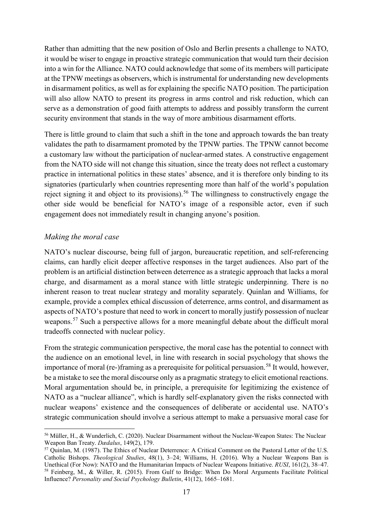Rather than admitting that the new position of Oslo and Berlin presents a challenge to NATO, it would be wiser to engage in proactive strategic communication that would turn their decision into a win for the Alliance. NATO could acknowledge that some of its members will participate at the TPNW meetings as observers, which is instrumental for understanding new developments in disarmament politics, as well as for explaining the specific NATO position. The participation will also allow NATO to present its progress in arms control and risk reduction, which can serve as a demonstration of good faith attempts to address and possibly transform the current security environment that stands in the way of more ambitious disarmament efforts.

There is little ground to claim that such a shift in the tone and approach towards the ban treaty validates the path to disarmament promoted by the TPNW parties. The TPNW cannot become a customary law without the participation of nuclear-armed states. A constructive engagement from the NATO side will not change this situation, since the treaty does not reflect a customary practice in international politics in these states' absence, and it is therefore only binding to its signatories (particularly when countries representing more than half of the world's population reject signing it and object to its provisions).<sup>[56](#page-16-0)</sup> The willingness to constructively engage the other side would be beneficial for NATO's image of a responsible actor, even if such engagement does not immediately result in changing anyone's position.

#### *Making the moral case*

NATO's nuclear discourse, being full of jargon, bureaucratic repetition, and self-referencing claims, can hardly elicit deeper affective responses in the target audiences. Also part of the problem is an artificial distinction between deterrence as a strategic approach that lacks a moral charge, and disarmament as a moral stance with little strategic underpinning. There is no inherent reason to treat nuclear strategy and morality separately. Quinlan and Williams, for example, provide a complex ethical discussion of deterrence, arms control, and disarmament as aspects of NATO's posture that need to work in concert to morally justify possession of nuclear weapons.<sup>[57](#page-16-1)</sup> Such a perspective allows for a more meaningful debate about the difficult moral tradeoffs connected with nuclear policy.

From the strategic communication perspective, the moral case has the potential to connect with the audience on an emotional level, in line with research in social psychology that shows the importance of moral (re-)framing as a prerequisite for political persuasion.<sup>[58](#page-16-2)</sup> It would, however, be a mistake to see the moral discourse only as a pragmatic strategy to elicit emotional reactions. Moral argumentation should be, in principle, a prerequisite for legitimizing the existence of NATO as a "nuclear alliance", which is hardly self-explanatory given the risks connected with nuclear weapons' existence and the consequences of deliberate or accidental use. NATO's strategic communication should involve a serious attempt to make a persuasive moral case for

<span id="page-16-0"></span> <sup>56</sup> <sup>M</sup>üller, H., & Wunderlich, C. (2020). Nuclear Disarmament without the Nuclear-Weapon States: The Nuclear Weapon Ban Treaty. *Dædalus*, 149(2), 179.

<span id="page-16-2"></span><span id="page-16-1"></span><sup>57</sup> Quinlan, M. (1987). The Ethics of Nuclear Deterrence: A Critical Comment on the Pastoral Letter of the U.S. Catholic Bishops. *Theological Studies*, 48(1), 3–24; Williams, H. (2016). Why a Nuclear Weapons Ban is Unethical (For Now): NATO and the Humanitarian Impacts of Nuclear Weapons Initiative. *RUSI*, 161(2), 38–47. <sup>58</sup> Feinberg, M., & Willer, R. (2015). From Gulf to Bridge: When Do Moral Arguments Facilitate Political Influence? *Personality and Social Psychology Bulletin*, 41(12), 1665–1681.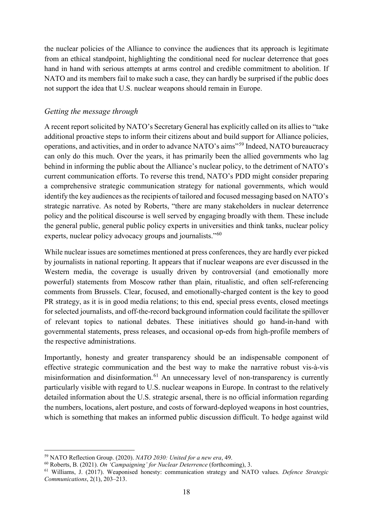the nuclear policies of the Alliance to convince the audiences that its approach is legitimate from an ethical standpoint, highlighting the conditional need for nuclear deterrence that goes hand in hand with serious attempts at arms control and credible commitment to abolition. If NATO and its members fail to make such a case, they can hardly be surprised if the public does not support the idea that U.S. nuclear weapons should remain in Europe.

#### *Getting the message through*

A recent report solicited by NATO's Secretary General has explicitly called on its allies to "take additional proactive steps to inform their citizens about and build support for Alliance policies, operations, and activities, and in order to advance NATO's aims"[59](#page-17-0) Indeed, NATO bureaucracy can only do this much. Over the years, it has primarily been the allied governments who lag behind in informing the public about the Alliance's nuclear policy, to the detriment of NATO's current communication efforts. To reverse this trend, NATO's PDD might consider preparing a comprehensive strategic communication strategy for national governments, which would identify the key audiences as the recipients of tailored and focused messaging based on NATO's strategic narrative. As noted by Roberts, "there are many stakeholders in nuclear deterrence policy and the political discourse is well served by engaging broadly with them. These include the general public, general public policy experts in universities and think tanks, nuclear policy experts, nuclear policy advocacy groups and journalists."<sup>[60](#page-17-1)</sup>

While nuclear issues are sometimes mentioned at press conferences, they are hardly ever picked by journalists in national reporting. It appears that if nuclear weapons are ever discussed in the Western media, the coverage is usually driven by controversial (and emotionally more powerful) statements from Moscow rather than plain, ritualistic, and often self-referencing comments from Brussels. Clear, focused, and emotionally-charged content is the key to good PR strategy, as it is in good media relations; to this end, special press events, closed meetings for selected journalists, and off-the-record background information could facilitate the spillover of relevant topics to national debates. These initiatives should go hand-in-hand with governmental statements, press releases, and occasional op-eds from high-profile members of the respective administrations.

Importantly, honesty and greater transparency should be an indispensable component of effective strategic communication and the best way to make the narrative robust vis-à-vis misinformation and disinformation.<sup>[61](#page-17-2)</sup> An unnecessary level of non-transparency is currently particularly visible with regard to U.S. nuclear weapons in Europe. In contrast to the relatively detailed information about the U.S. strategic arsenal, there is no official information regarding the numbers, locations, alert posture, and costs of forward-deployed weapons in host countries, which is something that makes an informed public discussion difficult. To hedge against wild

<span id="page-17-0"></span> <sup>59</sup> NATO Reflection Group. (2020). *NATO 2030: United for a new era*, 49.

<span id="page-17-1"></span><sup>60</sup> Roberts, B. (2021). *On 'Campaigning' for Nuclear Deterrence* (forthcoming), 3.

<span id="page-17-2"></span><sup>61</sup> Williams, J. (2017). Weaponised honesty: communication strategy and NATO values. *Defence Strategic Communications*, 2(1), 203–213.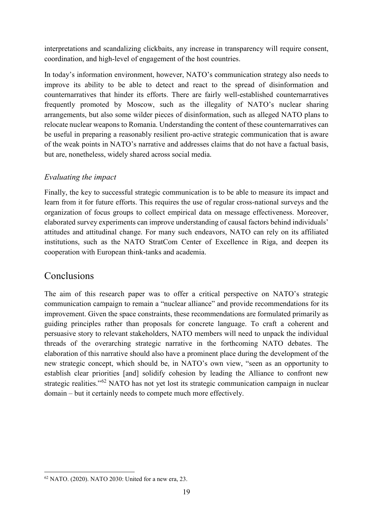interpretations and scandalizing clickbaits, any increase in transparency will require consent, coordination, and high-level of engagement of the host countries.

In today's information environment, however, NATO's communication strategy also needs to improve its ability to be able to detect and react to the spread of disinformation and counternarratives that hinder its efforts. There are fairly well-established counternarratives frequently promoted by Moscow, such as the illegality of NATO's nuclear sharing arrangements, but also some wilder pieces of disinformation, such as alleged NATO plans to relocate nuclear weapons to Romania. Understanding the content of these counternarratives can be useful in preparing a reasonably resilient pro-active strategic communication that is aware of the weak points in NATO's narrative and addresses claims that do not have a factual basis, but are, nonetheless, widely shared across social media.

#### *Evaluating the impact*

Finally, the key to successful strategic communication is to be able to measure its impact and learn from it for future efforts. This requires the use of regular cross-national surveys and the organization of focus groups to collect empirical data on message effectiveness. Moreover, elaborated survey experiments can improve understanding of causal factors behind individuals' attitudes and attitudinal change. For many such endeavors, NATO can rely on its affiliated institutions, such as the NATO StratCom Center of Excellence in Riga, and deepen its cooperation with European think-tanks and academia.

## Conclusions

The aim of this research paper was to offer a critical perspective on NATO's strategic communication campaign to remain a "nuclear alliance" and provide recommendations for its improvement. Given the space constraints, these recommendations are formulated primarily as guiding principles rather than proposals for concrete language. To craft a coherent and persuasive story to relevant stakeholders, NATO members will need to unpack the individual threads of the overarching strategic narrative in the forthcoming NATO debates. The elaboration of this narrative should also have a prominent place during the development of the new strategic concept, which should be, in NATO's own view, "seen as an opportunity to establish clear priorities [and] solidify cohesion by leading the Alliance to confront new strategic realities."<sup>[62](#page-18-0)</sup> NATO has not yet lost its strategic communication campaign in nuclear domain – but it certainly needs to compete much more effectively.

<span id="page-18-0"></span> <sup>62</sup> NATO. (2020). NATO 2030: United for a new era, 23.